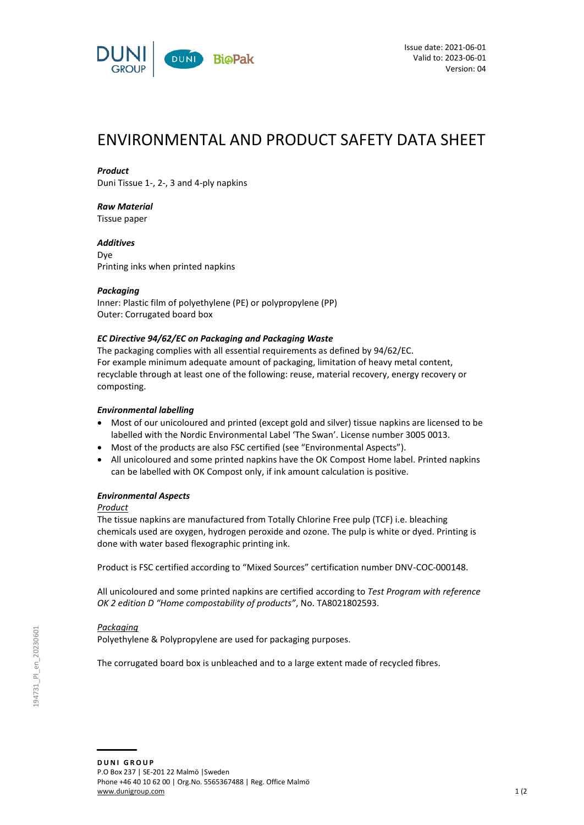

# ENVIRONMENTAL AND PRODUCT SAFETY DATA SHEET

## *Product*

Duni Tissue 1-, 2-, 3 and 4-ply napkins

## *Raw Material*

Tissue paper

*Additives* Dye Printing inks when printed napkins

## *Packaging*

Inner: Plastic film of polyethylene (PE) or polypropylene (PP) Outer: Corrugated board box

## *EC Directive 94/62/EC on Packaging and Packaging Waste*

The packaging complies with all essential requirements as defined by 94/62/EC. For example minimum adequate amount of packaging, limitation of heavy metal content, recyclable through at least one of the following: reuse, material recovery, energy recovery or composting.

## *Environmental labelling*

- Most of our unicoloured and printed (except gold and silver) tissue napkins are licensed to be labelled with the Nordic Environmental Label 'The Swan'. License number 3005 0013.
- Most of the products are also FSC certified (see "Environmental Aspects").
- All unicoloured and some printed napkins have the OK Compost Home label. Printed napkins can be labelled with OK Compost only, if ink amount calculation is positive.

## *Environmental Aspects*

## *Product*

The tissue napkins are manufactured from Totally Chlorine Free pulp (TCF) i.e. bleaching chemicals used are oxygen, hydrogen peroxide and ozone. The pulp is white or dyed. Printing is done with water based flexographic printing ink.

Product is FSC certified according to "Mixed Sources" certification number DNV-COC-000148.

All unicoloured and some printed napkins are certified according to *Test Program with reference OK 2 edition D "Home compostability of products"*, No. TA8021802593.

## *Packaging*

Polyethylene & Polypropylene are used for packaging purposes.

The corrugated board box is unbleached and to a large extent made of recycled fibres.